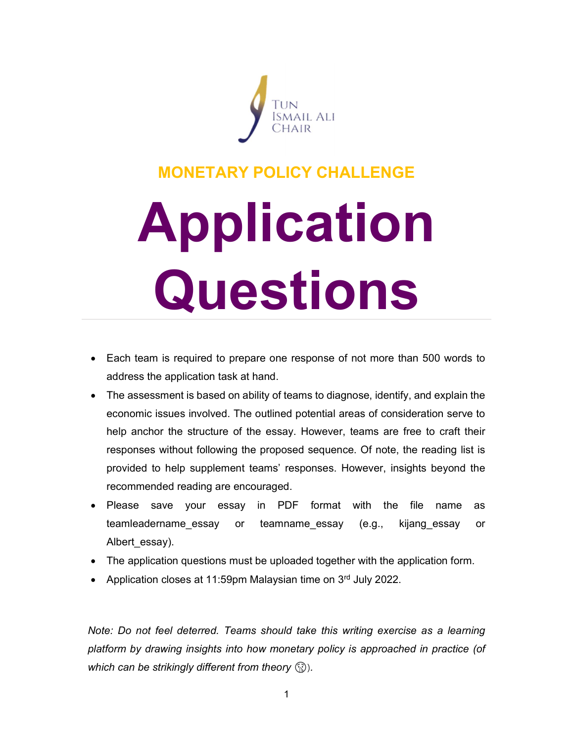

## MONETARY POLICY CHALLENGE

# Application Questions

- Each team is required to prepare one response of not more than 500 words to address the application task at hand.
- The assessment is based on ability of teams to diagnose, identify, and explain the economic issues involved. The outlined potential areas of consideration serve to help anchor the structure of the essay. However, teams are free to craft their responses without following the proposed sequence. Of note, the reading list is provided to help supplement teams' responses. However, insights beyond the recommended reading are encouraged.
- Please save your essay in PDF format with the file name as teamleadername essay or teamname\_essay (e.g., kijang\_essay or Albert\_essay).
- The application questions must be uploaded together with the application form.
- Application closes at 11:59pm Malaysian time on 3rd July 2022.

Note: Do not feel deterred. Teams should take this writing exercise as a learning platform by drawing insights into how monetary policy is approached in practice (of which can be strikingly different from theory  $\mathbb{Q}$ ).